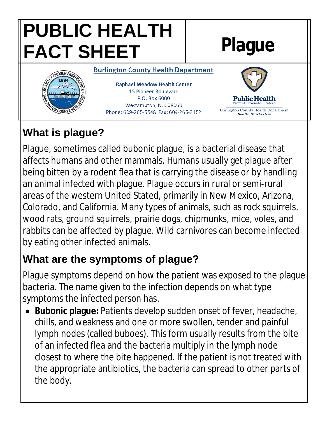

# **What is plague?**

Plague, sometimes called bubonic plague, is a bacterial disease that affects humans and other mammals. Humans usually get plague after being bitten by a rodent flea that is carrying the disease or by handling an animal infected with plague. Plague occurs in rural or semi-rural areas of the western United Stated, primarily in New Mexico, Arizona, Colorado, and California. Many types of animals, such as rock squirrels, wood rats, ground squirrels, prairie dogs, chipmunks, mice, voles, and rabbits can be affected by plague. Wild carnivores can become infected by eating other infected animals.

#### **What are the symptoms of plague?**

Plague symptoms depend on how the patient was exposed to the plague bacteria. The name given to the infection depends on what type symptoms the infected person has.

 **Bubonic plague:** Patients develop sudden onset of fever, headache, chills, and weakness and one or more swollen, tender and painful lymph nodes (called buboes). This form usually results from the bite of an infected flea and the bacteria multiply in the lymph node closest to where the bite happened. If the patient is not treated with the appropriate antibiotics, the bacteria can spread to other parts of the body.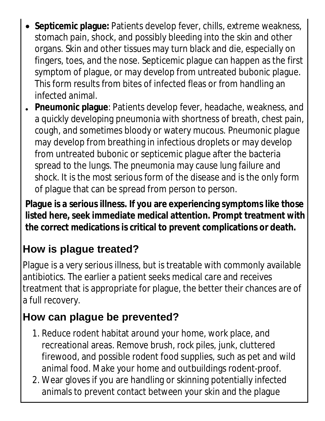- **Septicemic plague:** Patients develop fever, chills, extreme weakness, stomach pain, shock, and possibly bleeding into the skin and other organs. Skin and other tissues may turn black and die, especially on fingers, toes, and the nose. Septicemic plague can happen as the first symptom of plague, or may develop from untreated bubonic plague. This form results from bites of infected fleas or from handling an infected animal.
- **Pneumonic plague**: Patients develop fever, headache, weakness, and a quickly developing pneumonia with shortness of breath, chest pain, cough, and sometimes bloody or watery mucous. Pneumonic plague may develop from breathing in infectious droplets or may develop from untreated bubonic or septicemic plague after the bacteria spread to the lungs. The pneumonia may cause lung failure and shock. It is the most serious form of the disease and is the only form of plague that can be spread from person to person.

**Plague is a serious illness. If you are experiencing symptoms like those listed here, seek immediate medical attention. Prompt treatment with the correct medications is critical to prevent complications or death.**

## **How is plague treated?**

Plague is a very serious illness, but is treatable with commonly available antibiotics. The earlier a patient seeks medical care and receives treatment that is appropriate for plague, the better their chances are of a full recovery.

## **How can plague be prevented?**

- 1. Reduce rodent habitat around your home, work place, and recreational areas. Remove brush, rock piles, junk, cluttered firewood, and possible rodent food supplies, such as pet and wild animal food. Make your home and outbuildings rodent-proof.
- 2. Wear gloves if you are handling or skinning potentially infected animals to prevent contact between your skin and the plague